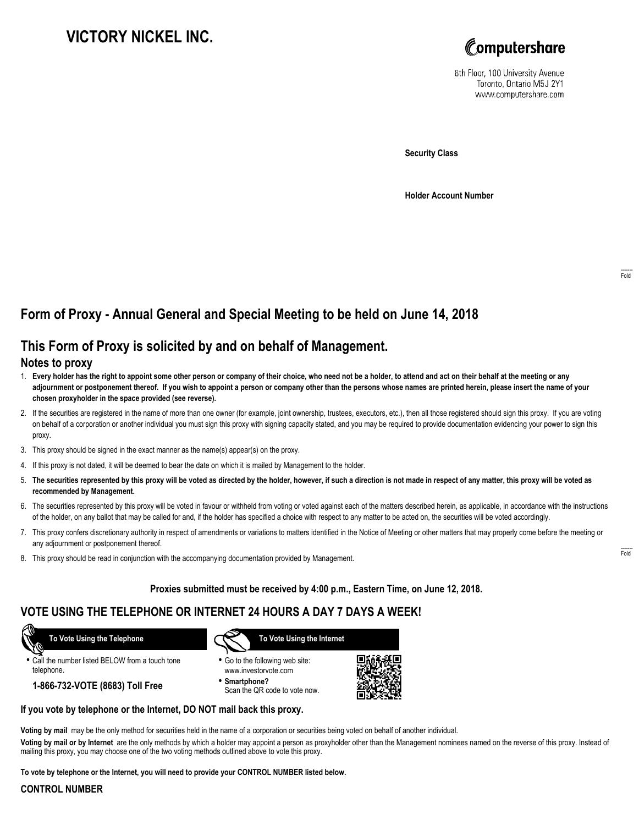# **VICTORY NICKEL INC.**



8th Floor, 100 University Avenue Toronto, Ontario M5J 2Y1 www.computershare.com

**Security Class**

**Holder Account Number**

## **Form of Proxy - Annual General and Special Meeting to be held on June 14, 2018**

### **This Form of Proxy is solicited by and on behalf of Management.**

#### **Notes to proxy**

- 1. **Every holder has the right to appoint some other person or company of their choice, who need not be a holder, to attend and act on their behalf at the meeting or any adjournment or postponement thereof. If you wish to appoint a person or company other than the persons whose names are printed herein, please insert the name of your chosen proxyholder in the space provided (see reverse).**
- 2. If the securities are registered in the name of more than one owner (for example, joint ownership, trustees, executors, etc.), then all those registered should sign this proxy. If you are voting on behalf of a corporation or another individual you must sign this proxy with signing capacity stated, and you may be required to provide documentation evidencing your power to sign this proxy.
- 3. This proxy should be signed in the exact manner as the name(s) appear(s) on the proxy.
- 4. If this proxy is not dated, it will be deemed to bear the date on which it is mailed by Management to the holder.
- 5. **The securities represented by this proxy will be voted as directed by the holder, however, if such a direction is not made in respect of any matter, this proxy will be voted as recommended by Management.**
- 6. The securities represented by this proxy will be voted in favour or withheld from voting or voted against each of the matters described herein, as applicable, in accordance with the instructions of the holder, on any ballot that may be called for and, if the holder has specified a choice with respect to any matter to be acted on, the securities will be voted accordingly.
- 7. This proxy confers discretionary authority in respect of amendments or variations to matters identified in the Notice of Meeting or other matters that may properly come before the meeting or any adjournment or postponement thereof.
- 8. This proxy should be read in conjunction with the accompanying documentation provided by Management.

#### **Proxies submitted must be received by 4:00 p.m., Eastern Time, on June 12, 2018.**

### **VOTE USING THE TELEPHONE OR INTERNET 24 HOURS A DAY 7 DAYS A WEEK!**

 **To Vote Using the Telephone**

**•** Call the number listed BELOW from a touch tone telephone.

**1-866-732-VOTE (8683) Toll Free**



- **•** Go to the following web site: www.investorvote.com
- **• Smartphone?** Scan the QR code to vote now.



#### **If you vote by telephone or the Internet, DO NOT mail back this proxy.**

**Voting by mail** may be the only method for securities held in the name of a corporation or securities being voted on behalf of another individual.

**Voting by mail or by Internet** are the only methods by which a holder may appoint a person as proxyholder other than the Management nominees named on the reverse of this proxy. Instead of mailing this proxy, you may choose one of the two voting methods outlined above to vote this proxy.

**To vote by telephone or the Internet, you will need to provide your CONTROL NUMBER listed below.**

#### **CONTROL NUMBER**